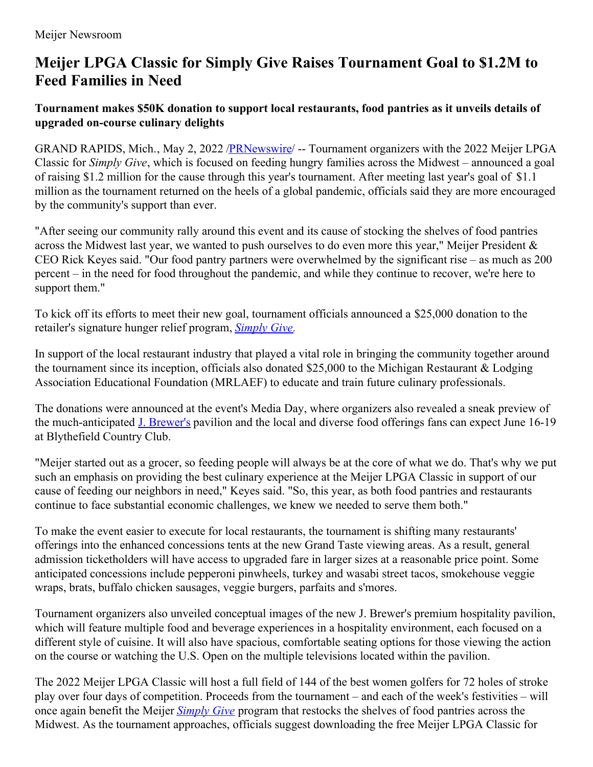## **Meijer LPGA Classic for Simply Give Raises Tournament Goal to \$1.2M to Feed Families in Need**

## **Tournament makes \$50K donation to support local restaurants, food pantries as it unveils details of upgraded on-course culinary delights**

GRAND RAPIDS, Mich., May 2, 2022 /**PRNewswire/** -- Tournament organizers with the 2022 Meijer LPGA Classic for *Simply Give*, which is focused on feeding hungry families across the Midwest – announced a goal of raising \$1.2 million for the cause through this year's tournament. After meeting last year's goal of \$1.1 million as the tournament returned on the heels of a global pandemic, officials said they are more encouraged by the community's support than ever.

"After seeing our community rally around this event and its cause of stocking the shelves of food pantries across the Midwest last year, we wanted to push ourselves to do even more this year," Meijer President & CEO Rick Keyes said. "Our food pantry partners were overwhelmed by the significant rise – as much as 200 percent – in the need for food throughout the pandemic, and while they continue to recover, we're here to support them."

To kick off its efforts to meet their new goal, tournament officials announced a \$25,000 donation to the retailer's signature hunger relief program, *[Simply](https://c212.net/c/link/?t=0&l=en&o=3523135-1&h=1512012977&u=http%3A%2F%2Fmeijercommunity.com%2Fsimply-give&a=Simply+Give) Give.*

In support of the local restaurant industry that played a vital role in bringing the community together around the tournament since its inception, officials also donated \$25,000 to the Michigan Restaurant & Lodging Association Educational Foundation (MRLAEF) to educate and train future culinary professionals.

The donations were announced at the event's Media Day, where organizers also revealed a sneak preview of the much-anticipated **J. [Brewer's](https://c212.net/c/link/?t=0&l=en&o=3523135-1&h=3460320924&u=http%3A%2F%2Fnewsroom.meijer.com%2F2022-04-18-2022-Meijer-LPGA-Classic-for-Simply-Give-to-Offer-Elevated-Tournament-Experience&a=J.+Brewer%27s)** pavilion and the local and diverse food offerings fans can expect June 16-19 at Blythefield Country Club.

"Meijer started out as a grocer, so feeding people will always be at the core of what we do. That's why we put such an emphasis on providing the best culinary experience at the Meijer LPGA Classic in support of our cause of feeding our neighbors in need," Keyes said. "So, this year, as both food pantries and restaurants continue to face substantial economic challenges, we knew we needed to serve them both."

To make the event easier to execute for local restaurants, the tournament is shifting many restaurants' offerings into the enhanced concessions tents at the new Grand Taste viewing areas. As a result, general admission ticketholders will have access to upgraded fare in larger sizes at a reasonable price point. Some anticipated concessions include pepperoni pinwheels, turkey and wasabi street tacos, smokehouse veggie wraps, brats, buffalo chicken sausages, veggie burgers, parfaits and s'mores.

Tournament organizers also unveiled conceptual images of the new J. Brewer's premium hospitality pavilion, which will feature multiple food and beverage experiences in a hospitality environment, each focused on a different style of cuisine. It will also have spacious, comfortable seating options for those viewing the action on the course or watching the U.S. Open on the multiple televisions located within the pavilion.

The 2022 Meijer LPGA Classic will host a full field of 144 of the best women golfers for 72 holes of stroke play over four days of competition. Proceeds from the tournament – and each of the week's festivities – will once again benefit the Meijer *[Simply](https://c212.net/c/link/?t=0&l=en&o=3523135-1&h=1512012977&u=http%3A%2F%2Fmeijercommunity.com%2Fsimply-give&a=Simply+Give) Give* program that restocks the shelves of food pantries across the Midwest. As the tournament approaches, officials suggest downloading the free Meijer LPGA Classic for